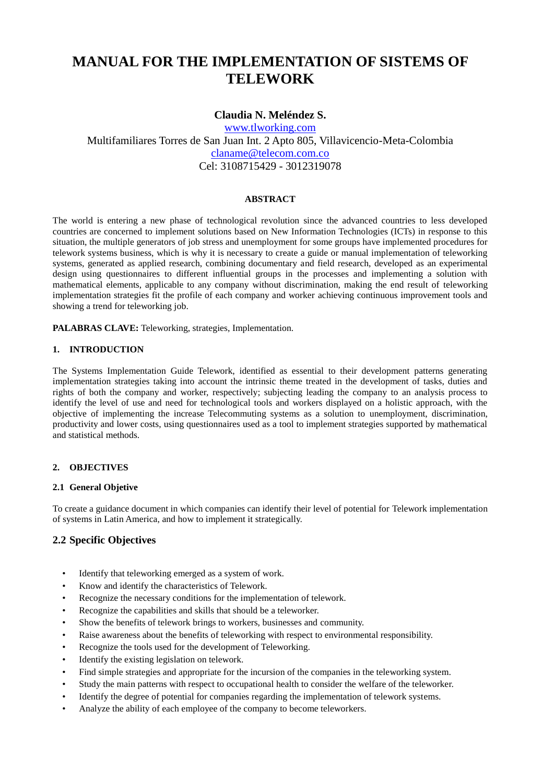# **MANUAL FOR THE IMPLEMENTATION OF SISTEMS OF TELEWORK**

# **Claudia N. Meléndez S.**

[www.tlworking.com](http://www.tlworking.com/) Multifamiliares Torres de San Juan Int. 2 Apto 805, Villavicencio-Meta-Colombia [claname@telecom.com.co](mailto:claname@telecom.com.co) Cel: 3108715429 - 3012319078

# **ABSTRACT**

The world is entering a new phase of technological revolution since the advanced countries to less developed countries are concerned to implement solutions based on New Information Technologies (ICTs) in response to this situation, the multiple generators of job stress and unemployment for some groups have implemented procedures for telework systems business, which is why it is necessary to create a guide or manual implementation of teleworking systems, generated as applied research, combining documentary and field research, developed as an experimental design using questionnaires to different influential groups in the processes and implementing a solution with mathematical elements, applicable to any company without discrimination, making the end result of teleworking implementation strategies fit the profile of each company and worker achieving continuous improvement tools and showing a trend for teleworking job.

**PALABRAS CLAVE:** Teleworking, strategies, Implementation.

# **1. INTRODUCTION**

The Systems Implementation Guide Telework, identified as essential to their development patterns generating implementation strategies taking into account the intrinsic theme treated in the development of tasks, duties and rights of both the company and worker, respectively; subjecting leading the company to an analysis process to identify the level of use and need for technological tools and workers displayed on a holistic approach, with the objective of implementing the increase Telecommuting systems as a solution to unemployment, discrimination, productivity and lower costs, using questionnaires used as a tool to implement strategies supported by mathematical and statistical methods.

# **2. OBJECTIVES**

# **2.1 General Objetive**

To create a guidance document in which companies can identify their level of potential for Telework implementation of systems in Latin America, and how to implement it strategically.

# **2.2 Specific Objectives**

- Identify that teleworking emerged as a system of work.
- Know and identify the characteristics of Telework.
- Recognize the necessary conditions for the implementation of telework.
- Recognize the capabilities and skills that should be a teleworker.
- Show the benefits of telework brings to workers, businesses and community.
- Raise awareness about the benefits of teleworking with respect to environmental responsibility.
- Recognize the tools used for the development of Teleworking.
- Identify the existing legislation on telework.
- Find simple strategies and appropriate for the incursion of the companies in the teleworking system.
- Study the main patterns with respect to occupational health to consider the welfare of the teleworker.
- Identify the degree of potential for companies regarding the implementation of telework systems.
- Analyze the ability of each employee of the company to become teleworkers.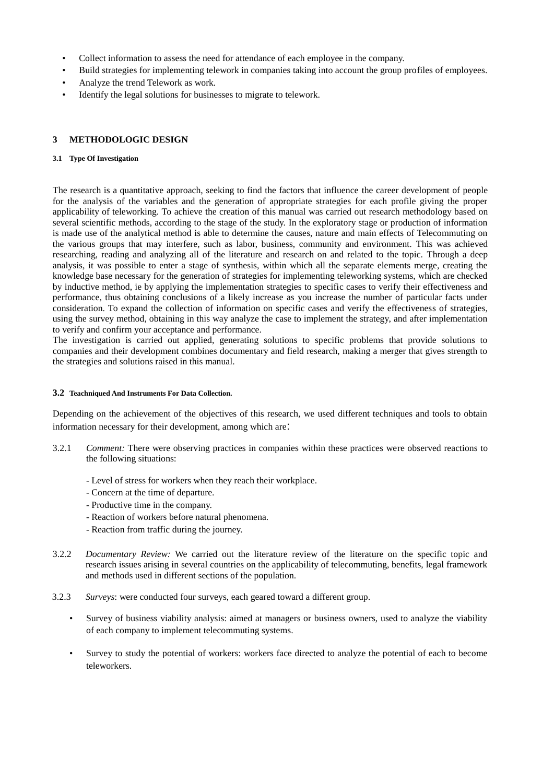- Collect information to assess the need for attendance of each employee in the company.
- Build strategies for implementing telework in companies taking into account the group profiles of employees.
- Analyze the trend Telework as work.
- Identify the legal solutions for businesses to migrate to telework.

# **3 METHODOLOGIC DESIGN**

#### **3.1 Type Of Investigation**

The research is a quantitative approach, seeking to find the factors that influence the career development of people for the analysis of the variables and the generation of appropriate strategies for each profile giving the proper applicability of teleworking. To achieve the creation of this manual was carried out research methodology based on several scientific methods, according to the stage of the study. In the exploratory stage or production of information is made use of the analytical method is able to determine the causes, nature and main effects of Telecommuting on the various groups that may interfere, such as labor, business, community and environment. This was achieved researching, reading and analyzing all of the literature and research on and related to the topic. Through a deep analysis, it was possible to enter a stage of synthesis, within which all the separate elements merge, creating the knowledge base necessary for the generation of strategies for implementing teleworking systems, which are checked by inductive method, ie by applying the implementation strategies to specific cases to verify their effectiveness and performance, thus obtaining conclusions of a likely increase as you increase the number of particular facts under consideration. To expand the collection of information on specific cases and verify the effectiveness of strategies, using the survey method, obtaining in this way analyze the case to implement the strategy, and after implementation to verify and confirm your acceptance and performance.

The investigation is carried out applied, generating solutions to specific problems that provide solutions to companies and their development combines documentary and field research, making a merger that gives strength to the strategies and solutions raised in this manual.

#### **3.2 Teachniqued And Instruments For Data Collection.**

Depending on the achievement of the objectives of this research, we used different techniques and tools to obtain information necessary for their development, among which are:

- 3.2.1 *Comment:* There were observing practices in companies within these practices were observed reactions to the following situations:
	- Level of stress for workers when they reach their workplace.
	- Concern at the time of departure.
	- Productive time in the company.
	- Reaction of workers before natural phenomena.
	- Reaction from traffic during the journey.
- 3.2.2 *Documentary Review:* We carried out the literature review of the literature on the specific topic and research issues arising in several countries on the applicability of telecommuting, benefits, legal framework and methods used in different sections of the population.
- 3.2.3 *Surveys*: were conducted four surveys, each geared toward a different group.
	- Survey of business viability analysis: aimed at managers or business owners, used to analyze the viability of each company to implement telecommuting systems.
	- Survey to study the potential of workers: workers face directed to analyze the potential of each to become teleworkers.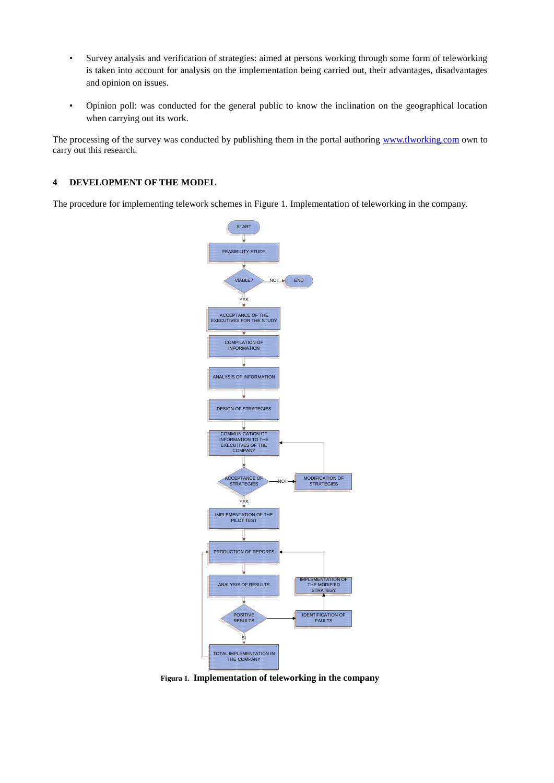- Survey analysis and verification of strategies: aimed at persons working through some form of teleworking is taken into account for analysis on the implementation being carried out, their advantages, disadvantages and opinion on issues.
- Opinion poll: was conducted for the general public to know the inclination on the geographical location when carrying out its work.

The processing of the survey was conducted by publishing them in the portal authoring [www.tlworking.com](http://www.tlworking.com/) own to carry out this research.

### **4 DEVELOPMENT OF THE MODEL**

The procedure for implementing telework schemes in Figure 1. Implementation of teleworking in the company.



**Figura 1. Implementation of teleworking in the company**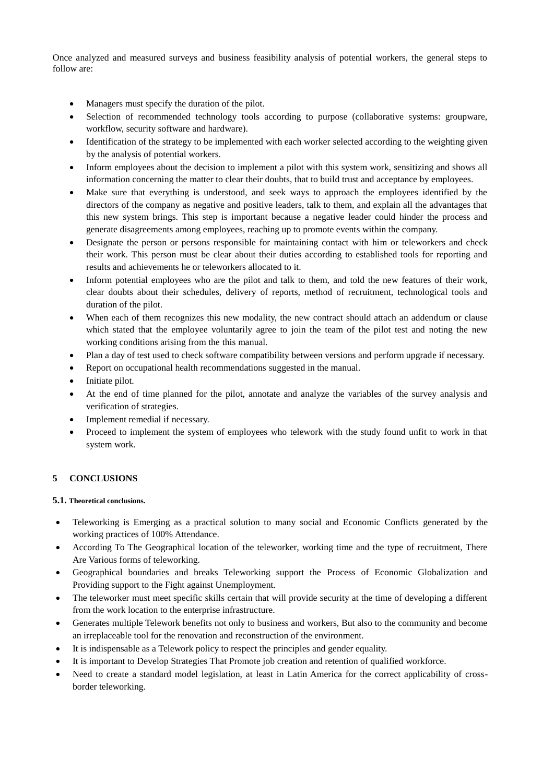Once analyzed and measured surveys and business feasibility analysis of potential workers, the general steps to follow are:

- Managers must specify the duration of the pilot.
- Selection of recommended technology tools according to purpose (collaborative systems: groupware, workflow, security software and hardware).
- Identification of the strategy to be implemented with each worker selected according to the weighting given by the analysis of potential workers.
- Inform employees about the decision to implement a pilot with this system work, sensitizing and shows all information concerning the matter to clear their doubts, that to build trust and acceptance by employees.
- Make sure that everything is understood, and seek ways to approach the employees identified by the directors of the company as negative and positive leaders, talk to them, and explain all the advantages that this new system brings. This step is important because a negative leader could hinder the process and generate disagreements among employees, reaching up to promote events within the company.
- Designate the person or persons responsible for maintaining contact with him or teleworkers and check their work. This person must be clear about their duties according to established tools for reporting and results and achievements he or teleworkers allocated to it.
- Inform potential employees who are the pilot and talk to them, and told the new features of their work, clear doubts about their schedules, delivery of reports, method of recruitment, technological tools and duration of the pilot.
- When each of them recognizes this new modality, the new contract should attach an addendum or clause which stated that the employee voluntarily agree to join the team of the pilot test and noting the new working conditions arising from the this manual.
- Plan a day of test used to check software compatibility between versions and perform upgrade if necessary.
- Report on occupational health recommendations suggested in the manual.
- Initiate pilot.
- At the end of time planned for the pilot, annotate and analyze the variables of the survey analysis and verification of strategies.
- Implement remedial if necessary.
- Proceed to implement the system of employees who telework with the study found unfit to work in that system work.

# **5 CONCLUSIONS**

# **5.1. Theoretical conclusions.**

- Teleworking is Emerging as a practical solution to many social and Economic Conflicts generated by the working practices of 100% Attendance.
- According To The Geographical location of the teleworker, working time and the type of recruitment, There Are Various forms of teleworking.
- Geographical boundaries and breaks Teleworking support the Process of Economic Globalization and Providing support to the Fight against Unemployment.
- The teleworker must meet specific skills certain that will provide security at the time of developing a different from the work location to the enterprise infrastructure.
- Generates multiple Telework benefits not only to business and workers, But also to the community and become an irreplaceable tool for the renovation and reconstruction of the environment.
- It is indispensable as a Telework policy to respect the principles and gender equality.
- It is important to Develop Strategies That Promote job creation and retention of qualified workforce.
- Need to create a standard model legislation, at least in Latin America for the correct applicability of crossborder teleworking.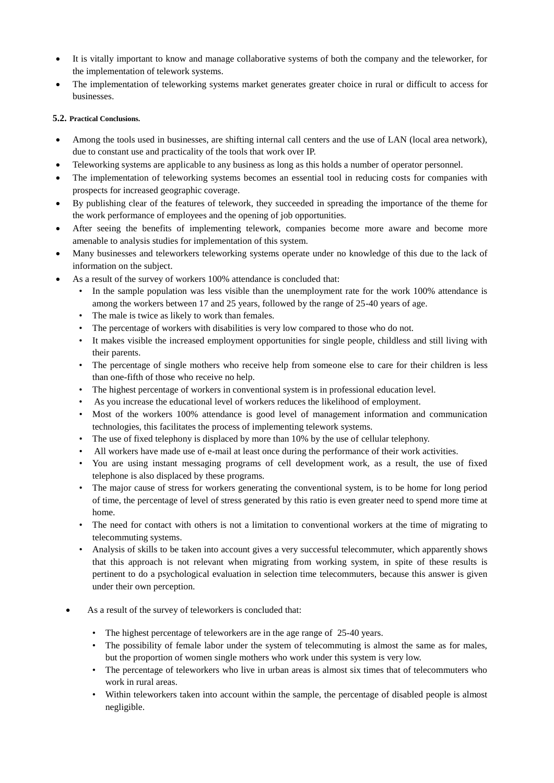- It is vitally important to know and manage collaborative systems of both the company and the teleworker, for the implementation of telework systems.
- The implementation of teleworking systems market generates greater choice in rural or difficult to access for businesses.

# **5.2. Practical Conclusions.**

- Among the tools used in businesses, are shifting internal call centers and the use of LAN (local area network), due to constant use and practicality of the tools that work over IP.
- Teleworking systems are applicable to any business as long as this holds a number of operator personnel.
- The implementation of teleworking systems becomes an essential tool in reducing costs for companies with prospects for increased geographic coverage.
- By publishing clear of the features of telework, they succeeded in spreading the importance of the theme for the work performance of employees and the opening of job opportunities.
- After seeing the benefits of implementing telework, companies become more aware and become more amenable to analysis studies for implementation of this system.
- Many businesses and teleworkers teleworking systems operate under no knowledge of this due to the lack of information on the subject.
- As a result of the survey of workers 100% attendance is concluded that:
	- In the sample population was less visible than the unemployment rate for the work 100% attendance is among the workers between 17 and 25 years, followed by the range of 25-40 years of age.
	- The male is twice as likely to work than females.
	- The percentage of workers with disabilities is very low compared to those who do not.
	- It makes visible the increased employment opportunities for single people, childless and still living with their parents.
	- The percentage of single mothers who receive help from someone else to care for their children is less than one-fifth of those who receive no help.
	- The highest percentage of workers in conventional system is in professional education level.
	- As you increase the educational level of workers reduces the likelihood of employment.
	- Most of the workers 100% attendance is good level of management information and communication technologies, this facilitates the process of implementing telework systems.
	- The use of fixed telephony is displaced by more than 10% by the use of cellular telephony.
	- All workers have made use of e-mail at least once during the performance of their work activities.
	- You are using instant messaging programs of cell development work, as a result, the use of fixed telephone is also displaced by these programs.
	- The major cause of stress for workers generating the conventional system, is to be home for long period of time, the percentage of level of stress generated by this ratio is even greater need to spend more time at home.
	- The need for contact with others is not a limitation to conventional workers at the time of migrating to telecommuting systems.
	- Analysis of skills to be taken into account gives a very successful telecommuter, which apparently shows that this approach is not relevant when migrating from working system, in spite of these results is pertinent to do a psychological evaluation in selection time telecommuters, because this answer is given under their own perception.
	- As a result of the survey of teleworkers is concluded that:
		- The highest percentage of teleworkers are in the age range of 25-40 years.
		- The possibility of female labor under the system of telecommuting is almost the same as for males, but the proportion of women single mothers who work under this system is very low.
		- The percentage of teleworkers who live in urban areas is almost six times that of telecommuters who work in rural areas.
		- Within teleworkers taken into account within the sample, the percentage of disabled people is almost negligible.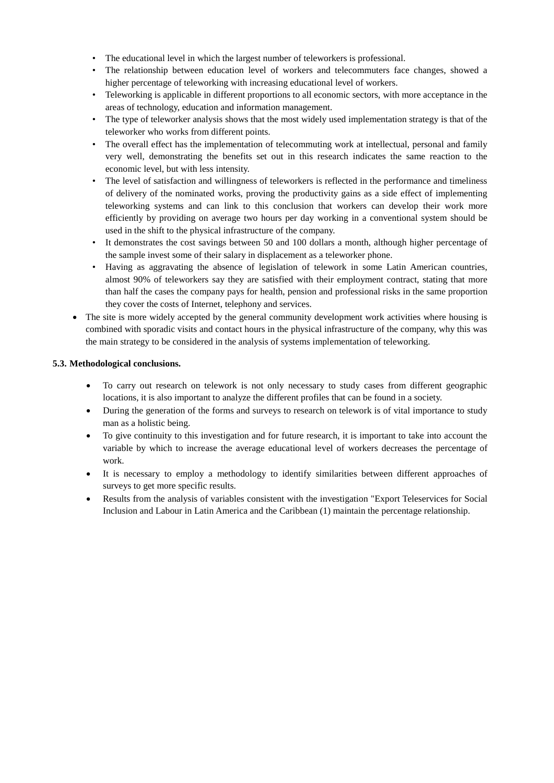- The educational level in which the largest number of teleworkers is professional.
- The relationship between education level of workers and telecommuters face changes, showed a higher percentage of teleworking with increasing educational level of workers.
- Teleworking is applicable in different proportions to all economic sectors, with more acceptance in the areas of technology, education and information management.
- The type of teleworker analysis shows that the most widely used implementation strategy is that of the teleworker who works from different points.
- The overall effect has the implementation of telecommuting work at intellectual, personal and family very well, demonstrating the benefits set out in this research indicates the same reaction to the economic level, but with less intensity.
- The level of satisfaction and willingness of teleworkers is reflected in the performance and timeliness of delivery of the nominated works, proving the productivity gains as a side effect of implementing teleworking systems and can link to this conclusion that workers can develop their work more efficiently by providing on average two hours per day working in a conventional system should be used in the shift to the physical infrastructure of the company.
- It demonstrates the cost savings between 50 and 100 dollars a month, although higher percentage of the sample invest some of their salary in displacement as a teleworker phone.
- Having as aggravating the absence of legislation of telework in some Latin American countries, almost 90% of teleworkers say they are satisfied with their employment contract, stating that more than half the cases the company pays for health, pension and professional risks in the same proportion they cover the costs of Internet, telephony and services.
- The site is more widely accepted by the general community development work activities where housing is combined with sporadic visits and contact hours in the physical infrastructure of the company, why this was the main strategy to be considered in the analysis of systems implementation of teleworking.

# **5.3. Methodological conclusions.**

- To carry out research on telework is not only necessary to study cases from different geographic locations, it is also important to analyze the different profiles that can be found in a society.
- During the generation of the forms and surveys to research on telework is of vital importance to study man as a holistic being.
- To give continuity to this investigation and for future research, it is important to take into account the variable by which to increase the average educational level of workers decreases the percentage of work.
- It is necessary to employ a methodology to identify similarities between different approaches of surveys to get more specific results.
- Results from the analysis of variables consistent with the investigation "Export Teleservices for Social Inclusion and Labour in Latin America and the Caribbean (1) maintain the percentage relationship.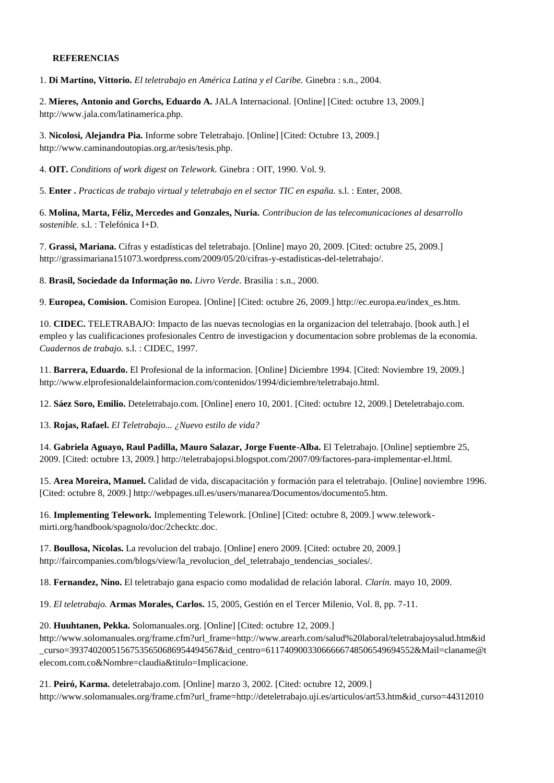### **REFERENCIAS**

1. **Di Martino, Vittorio.** *El teletrabajo en América Latina y el Caribe.* Ginebra : s.n., 2004.

2. **Mieres, Antonio and Gorchs, Eduardo A.** JALA Internacional. [Online] [Cited: octubre 13, 2009.] http://www.jala.com/latinamerica.php.

3. **Nicolosi, Alejandra Pia.** Informe sobre Teletrabajo. [Online] [Cited: Octubre 13, 2009.] http://www.caminandoutopias.org.ar/tesis/tesis.php.

4. **OIT.** *Conditions of work digest on Telework.* Ginebra : OIT, 1990. Vol. 9.

5. **Enter .** *Practicas de trabajo virtual y teletrabajo en el sector TIC en españa.* s.l. : Enter, 2008.

6. **Molina, Marta, Féliz, Mercedes and Gonzales, Nuria.** *Contribucion de las telecomunicaciones al desarrollo sostenible.* s.l. : Telefónica I+D.

7. **Grassi, Mariana.** Cifras y estadísticas del teletrabajo. [Online] mayo 20, 2009. [Cited: octubre 25, 2009.] http://grassimariana151073.wordpress.com/2009/05/20/cifras-y-estadisticas-del-teletrabajo/.

8. **Brasil, Sociedade da Informação no.** *Livro Verde.* Brasilia : s.n., 2000.

9. **Europea, Comision.** Comision Europea. [Online] [Cited: octubre 26, 2009.] http://ec.europa.eu/index\_es.htm.

10. **CIDEC.** TELETRABAJO: Impacto de las nuevas tecnologias en la organizacion del teletrabajo. [book auth.] el empleo y las cualificaciones profesionales Centro de investigacion y documentacion sobre problemas de la economia. *Cuadernos de trabajo.* s.l. : CIDEC, 1997.

11. **Barrera, Eduardo.** El Profesional de la informacion. [Online] Diciembre 1994. [Cited: Noviembre 19, 2009.] http://www.elprofesionaldelainformacion.com/contenidos/1994/diciembre/teletrabajo.html.

12. **Sáez Soro, Emilio.** Deteletrabajo.com. [Online] enero 10, 2001. [Cited: octubre 12, 2009.] Deteletrabajo.com.

13. **Rojas, Rafael.** *El Teletrabajo... ¿Nuevo estilo de vida?* 

14. **Gabriela Aguayo, Raul Padilla, Mauro Salazar, Jorge Fuente-Alba.** El Teletrabajo. [Online] septiembre 25, 2009. [Cited: octubre 13, 2009.] http://teletrabajopsi.blogspot.com/2007/09/factores-para-implementar-el.html.

15. **Area Moreira, Manuel.** Calidad de vida, discapacitación y formación para el teletrabajo. [Online] noviembre 1996. [Cited: octubre 8, 2009.] http://webpages.ull.es/users/manarea/Documentos/documento5.htm.

16. **Implementing Telework.** Implementing Telework. [Online] [Cited: octubre 8, 2009.] www.teleworkmirti.org/handbook/spagnolo/doc/2checktc.doc.

17. **Boullosa, Nicolas.** La revolucion del trabajo. [Online] enero 2009. [Cited: octubre 20, 2009.] http://faircompanies.com/blogs/view/la\_revolucion\_del\_teletrabajo\_tendencias\_sociales/.

18. **Fernandez, Nino.** El teletrabajo gana espacio como modalidad de relación laboral. *Clarín.* mayo 10, 2009.

19. *El teletrabajo.* **Armas Morales, Carlos.** 15, 2005, Gestión en el Tercer Milenio, Vol. 8, pp. 7-11.

20. **Huuhtanen, Pekka.** Solomanuales.org. [Online] [Cited: octubre 12, 2009.]

http://www.solomanuales.org/frame.cfm?url\_frame=http://www.arearh.com/salud%20laboral/teletrabajoysalud.htm&id \_curso=39374020051567535650686954494567&id\_centro=61174090033066666748506549694552&Mail=claname@t elecom.com.co&Nombre=claudia&titulo=Implicacione.

21. **Peiró, Karma.** deteletrabajo.com. [Online] marzo 3, 2002. [Cited: octubre 12, 2009.] http://www.solomanuales.org/frame.cfm?url\_frame=http://deteletrabajo.uji.es/articulos/art53.htm&id\_curso=44312010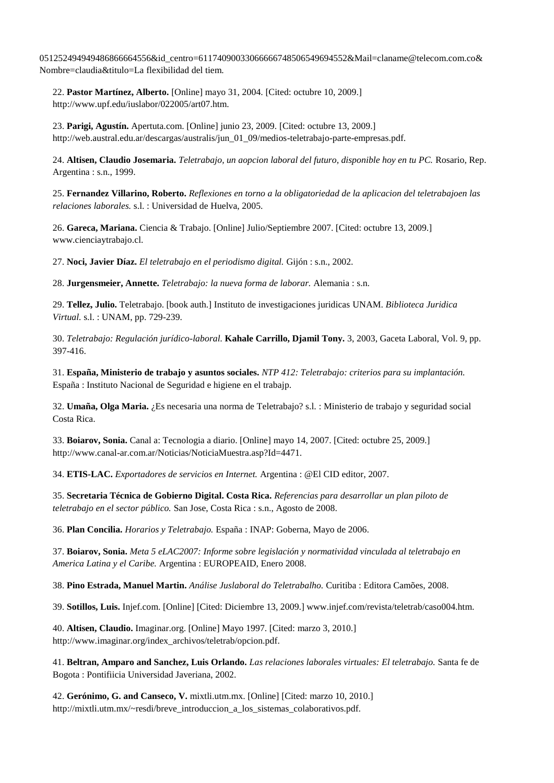051252494949486866664556&id\_centro=61174090033066666748506549694552&Mail=claname@telecom.com.co& Nombre=claudia&titulo=La flexibilidad del tiem.

22. **Pastor Martínez, Alberto.** [Online] mayo 31, 2004. [Cited: octubre 10, 2009.] http://www.upf.edu/iuslabor/022005/art07.htm.

23. **Parigi, Agustín.** Apertuta.com. [Online] junio 23, 2009. [Cited: octubre 13, 2009.] http://web.austral.edu.ar/descargas/australis/jun\_01\_09/medios-teletrabajo-parte-empresas.pdf.

24. **Altisen, Claudio Josemaria.** *Teletrabajo, un aopcion laboral del futuro, disponible hoy en tu PC.* Rosario, Rep. Argentina : s.n., 1999.

25. **Fernandez Villarino, Roberto.** *Reflexiones en torno a la obligatoriedad de la aplicacion del teletrabajoen las relaciones laborales.* s.l. : Universidad de Huelva, 2005.

26. **Gareca, Mariana.** Ciencia & Trabajo. [Online] Julio/Septiembre 2007. [Cited: octubre 13, 2009.] www.cienciaytrabajo.cl.

27. **Noci, Javier Díaz.** *El teletrabajo en el periodismo digital.* Gijón : s.n., 2002.

28. **Jurgensmeier, Annette.** *Teletrabajo: la nueva forma de laborar.* Alemania : s.n.

29. **Tellez, Julio.** Teletrabajo. [book auth.] Instituto de investigaciones juridicas UNAM. *Biblioteca Juridica Virtual.* s.l. : UNAM, pp. 729-239.

30. *Teletrabajo: Regulación jurídico-laboral.* **Kahale Carrillo, Djamil Tony.** 3, 2003, Gaceta Laboral, Vol. 9, pp. 397-416.

31. **España, Ministerio de trabajo y asuntos sociales.** *NTP 412: Teletrabajo: criterios para su implantación.*  España : Instituto Nacional de Seguridad e higiene en el trabajp.

32. **Umaña, Olga Maria.** ¿Es necesaria una norma de Teletrabajo? s.l. : Ministerio de trabajo y seguridad social Costa Rica.

33. **Boiarov, Sonia.** Canal a: Tecnologia a diario. [Online] mayo 14, 2007. [Cited: octubre 25, 2009.] http://www.canal-ar.com.ar/Noticias/NoticiaMuestra.asp?Id=4471.

34. **ETIS-LAC.** *Exportadores de servicios en Internet.* Argentina : @El CID editor, 2007.

35. **Secretaria Técnica de Gobierno Digital. Costa Rica.** *Referencias para desarrollar un plan piloto de teletrabajo en el sector público.* San Jose, Costa Rica : s.n., Agosto de 2008.

36. **Plan Concilia.** *Horarios y Teletrabajo.* España : INAP: Goberna, Mayo de 2006.

37. **Boiarov, Sonia.** *Meta 5 eLAC2007: Informe sobre legislación y normatividad vinculada al teletrabajo en America Latina y el Caribe.* Argentina : EUROPEAID, Enero 2008.

38. **Pino Estrada, Manuel Martin.** *Análise Juslaboral do Teletrabalho.* Curitiba : Editora Camões, 2008.

39. **Sotillos, Luis.** Injef.com. [Online] [Cited: Diciembre 13, 2009.] www.injef.com/revista/teletrab/caso004.htm.

40. **Altisen, Claudio.** Imaginar.org. [Online] Mayo 1997. [Cited: marzo 3, 2010.] http://www.imaginar.org/index\_archivos/teletrab/opcion.pdf.

41. **Beltran, Amparo and Sanchez, Luis Orlando.** *Las relaciones laborales virtuales: El teletrabajo.* Santa fe de Bogota : Pontifiicia Universidad Javeriana, 2002.

42. **Gerónimo, G. and Canseco, V.** mixtli.utm.mx. [Online] [Cited: marzo 10, 2010.] http://mixtli.utm.mx/~resdi/breve\_introduccion\_a\_los\_sistemas\_colaborativos.pdf.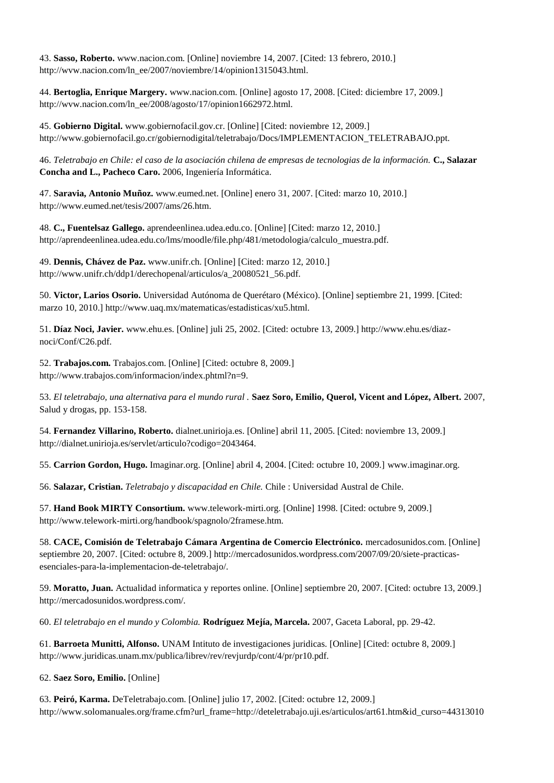43. **Sasso, Roberto.** www.nacion.com. [Online] noviembre 14, 2007. [Cited: 13 febrero, 2010.] http://wvw.nacion.com/ln\_ee/2007/noviembre/14/opinion1315043.html.

44. **Bertoglia, Enrique Margery.** www.nacion.com. [Online] agosto 17, 2008. [Cited: diciembre 17, 2009.] http://wvw.nacion.com/ln\_ee/2008/agosto/17/opinion1662972.html.

45. **Gobierno Digital.** www.gobiernofacil.gov.cr. [Online] [Cited: noviembre 12, 2009.] http://www.gobiernofacil.go.cr/gobiernodigital/teletrabajo/Docs/IMPLEMENTACION\_TELETRABAJO.ppt.

46. *Teletrabajo en Chile: el caso de la asociación chilena de empresas de tecnologias de la información.* **C., Salazar Concha and L., Pacheco Caro.** 2006, Ingeniería Informática.

47. **Saravia, Antonio Muñoz.** www.eumed.net. [Online] enero 31, 2007. [Cited: marzo 10, 2010.] http://www.eumed.net/tesis/2007/ams/26.htm.

48. **C., Fuentelsaz Gallego.** aprendeenlinea.udea.edu.co. [Online] [Cited: marzo 12, 2010.] http://aprendeenlinea.udea.edu.co/lms/moodle/file.php/481/metodologia/calculo\_muestra.pdf.

49. **Dennis, Chávez de Paz.** www.unifr.ch. [Online] [Cited: marzo 12, 2010.] http://www.unifr.ch/ddp1/derechopenal/articulos/a\_20080521\_56.pdf.

50. **Victor, Larios Osorio.** Universidad Autónoma de Querétaro (México). [Online] septiembre 21, 1999. [Cited: marzo 10, 2010.] http://www.uaq.mx/matematicas/estadisticas/xu5.html.

51. **Díaz Noci, Javier.** www.ehu.es. [Online] juli 25, 2002. [Cited: octubre 13, 2009.] http://www.ehu.es/diaznoci/Conf/C26.pdf.

52. **Trabajos.com.** Trabajos.com. [Online] [Cited: octubre 8, 2009.] http://www.trabajos.com/informacion/index.phtml?n=9.

53. *El teletrabajo, una alternativa para el mundo rural .* **Saez Soro, Emilio, Querol, Vicent and López, Albert.** 2007, Salud y drogas, pp. 153-158.

54. **Fernandez Villarino, Roberto.** dialnet.unirioja.es. [Online] abril 11, 2005. [Cited: noviembre 13, 2009.] http://dialnet.unirioja.es/servlet/articulo?codigo=2043464.

55. **Carrion Gordon, Hugo.** Imaginar.org. [Online] abril 4, 2004. [Cited: octubre 10, 2009.] www.imaginar.org.

56. **Salazar, Cristian.** *Teletrabajo y discapacidad en Chile.* Chile : Universidad Austral de Chile.

57. **Hand Book MIRTY Consortium.** www.telework-mirti.org. [Online] 1998. [Cited: octubre 9, 2009.] http://www.telework-mirti.org/handbook/spagnolo/2framese.htm.

58. **CACE, Comisión de Teletrabajo Cámara Argentina de Comercio Electrónico.** mercadosunidos.com. [Online] septiembre 20, 2007. [Cited: octubre 8, 2009.] http://mercadosunidos.wordpress.com/2007/09/20/siete-practicasesenciales-para-la-implementacion-de-teletrabajo/.

59. **Moratto, Juan.** Actualidad informatica y reportes online. [Online] septiembre 20, 2007. [Cited: octubre 13, 2009.] http://mercadosunidos.wordpress.com/.

60. *El teletrabajo en el mundo y Colombia.* **Rodríguez Mejía, Marcela.** 2007, Gaceta Laboral, pp. 29-42.

61. **Barroeta Munitti, Alfonso.** UNAM Intituto de investigaciones juridicas. [Online] [Cited: octubre 8, 2009.] http://www.juridicas.unam.mx/publica/librev/rev/revjurdp/cont/4/pr/pr10.pdf.

62. **Saez Soro, Emilio.** [Online]

63. **Peiró, Karma.** DeTeletrabajo.com. [Online] julio 17, 2002. [Cited: octubre 12, 2009.] http://www.solomanuales.org/frame.cfm?url\_frame=http://deteletrabajo.uji.es/articulos/art61.htm&id\_curso=44313010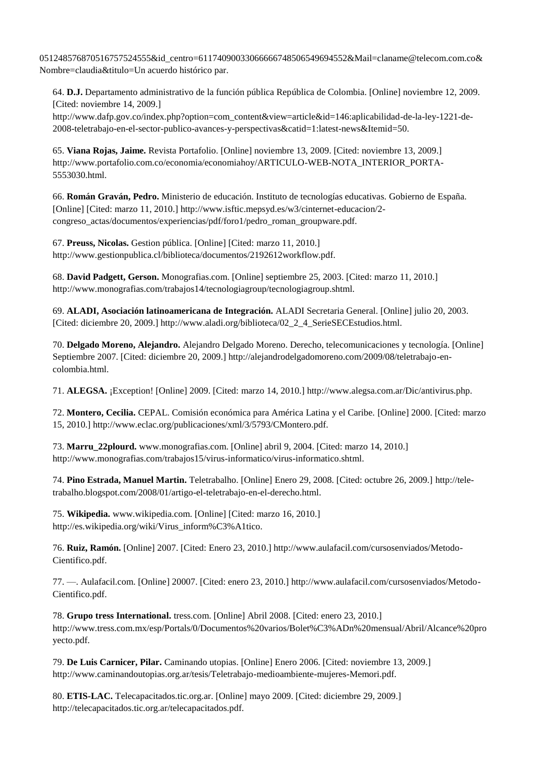051248576870516757524555&id\_centro=61174090033066666748506549694552&Mail=claname@telecom.com.co& Nombre=claudia&titulo=Un acuerdo histórico par.

64. **D.J.** Departamento administrativo de la función pública República de Colombia. [Online] noviembre 12, 2009. [Cited: noviembre 14, 2009.]

http://www.dafp.gov.co/index.php?option=com\_content&view=article&id=146:aplicabilidad-de-la-ley-1221-de-2008-teletrabajo-en-el-sector-publico-avances-y-perspectivas&catid=1:latest-news&Itemid=50.

65. **Viana Rojas, Jaime.** Revista Portafolio. [Online] noviembre 13, 2009. [Cited: noviembre 13, 2009.] http://www.portafolio.com.co/economia/economiahoy/ARTICULO-WEB-NOTA\_INTERIOR\_PORTA-5553030.html.

66. **Román Graván, Pedro.** Ministerio de educación. Instituto de tecnologías educativas. Gobierno de España. [Online] [Cited: marzo 11, 2010.] http://www.isftic.mepsyd.es/w3/cinternet-educacion/2 congreso\_actas/documentos/experiencias/pdf/foro1/pedro\_roman\_groupware.pdf.

67. **Preuss, Nicolas.** Gestion pública. [Online] [Cited: marzo 11, 2010.] http://www.gestionpublica.cl/biblioteca/documentos/2192612workflow.pdf.

68. **David Padgett, Gerson.** Monografias.com. [Online] septiembre 25, 2003. [Cited: marzo 11, 2010.] http://www.monografias.com/trabajos14/tecnologiagroup/tecnologiagroup.shtml.

69. **ALADI, Asociación latinoamericana de Integración.** ALADI Secretaria General. [Online] julio 20, 2003. [Cited: diciembre 20, 2009.] http://www.aladi.org/biblioteca/02\_2\_4\_SerieSECEstudios.html.

70. **Delgado Moreno, Alejandro.** Alejandro Delgado Moreno. Derecho, telecomunicaciones y tecnología. [Online] Septiembre 2007. [Cited: diciembre 20, 2009.] http://alejandrodelgadomoreno.com/2009/08/teletrabajo-encolombia.html.

71. **ALEGSA.** ¡Exception! [Online] 2009. [Cited: marzo 14, 2010.] http://www.alegsa.com.ar/Dic/antivirus.php.

72. **Montero, Cecilia.** CEPAL. Comisión económica para América Latina y el Caribe. [Online] 2000. [Cited: marzo 15, 2010.] http://www.eclac.org/publicaciones/xml/3/5793/CMontero.pdf.

73. **Marru\_22plourd.** www.monografias.com. [Online] abril 9, 2004. [Cited: marzo 14, 2010.] http://www.monografias.com/trabajos15/virus-informatico/virus-informatico.shtml.

74. **Pino Estrada, Manuel Martin.** Teletrabalho. [Online] Enero 29, 2008. [Cited: octubre 26, 2009.] http://teletrabalho.blogspot.com/2008/01/artigo-el-teletrabajo-en-el-derecho.html.

75. **Wikipedia.** www.wikipedia.com. [Online] [Cited: marzo 16, 2010.] http://es.wikipedia.org/wiki/Virus\_inform%C3%A1tico.

76. **Ruiz, Ramón.** [Online] 2007. [Cited: Enero 23, 2010.] http://www.aulafacil.com/cursosenviados/Metodo-Cientifico.pdf.

77. —. Aulafacil.com. [Online] 20007. [Cited: enero 23, 2010.] http://www.aulafacil.com/cursosenviados/Metodo-Cientifico.pdf.

78. **Grupo tress International.** tress.com. [Online] Abril 2008. [Cited: enero 23, 2010.] http://www.tress.com.mx/esp/Portals/0/Documentos%20varios/Bolet%C3%ADn%20mensual/Abril/Alcance%20pro yecto.pdf.

| 79. De Luis Carnicer, Pilar. Caminando utopias. [Online] Enero 2006. [Cited: noviembre 13, 2009.] |  |
|---------------------------------------------------------------------------------------------------|--|
| http://www.caminandoutopias.org.ar/tesis/Teletrabajo-medioambiente-mujeres-Memori.pdf.            |  |

80. **ETIS-LAC.** Telecapacitados.tic.org.ar. [Online] mayo 2009. [Cited: diciembre 29, 2009.] http://telecapacitados.tic.org.ar/telecapacitados.pdf.